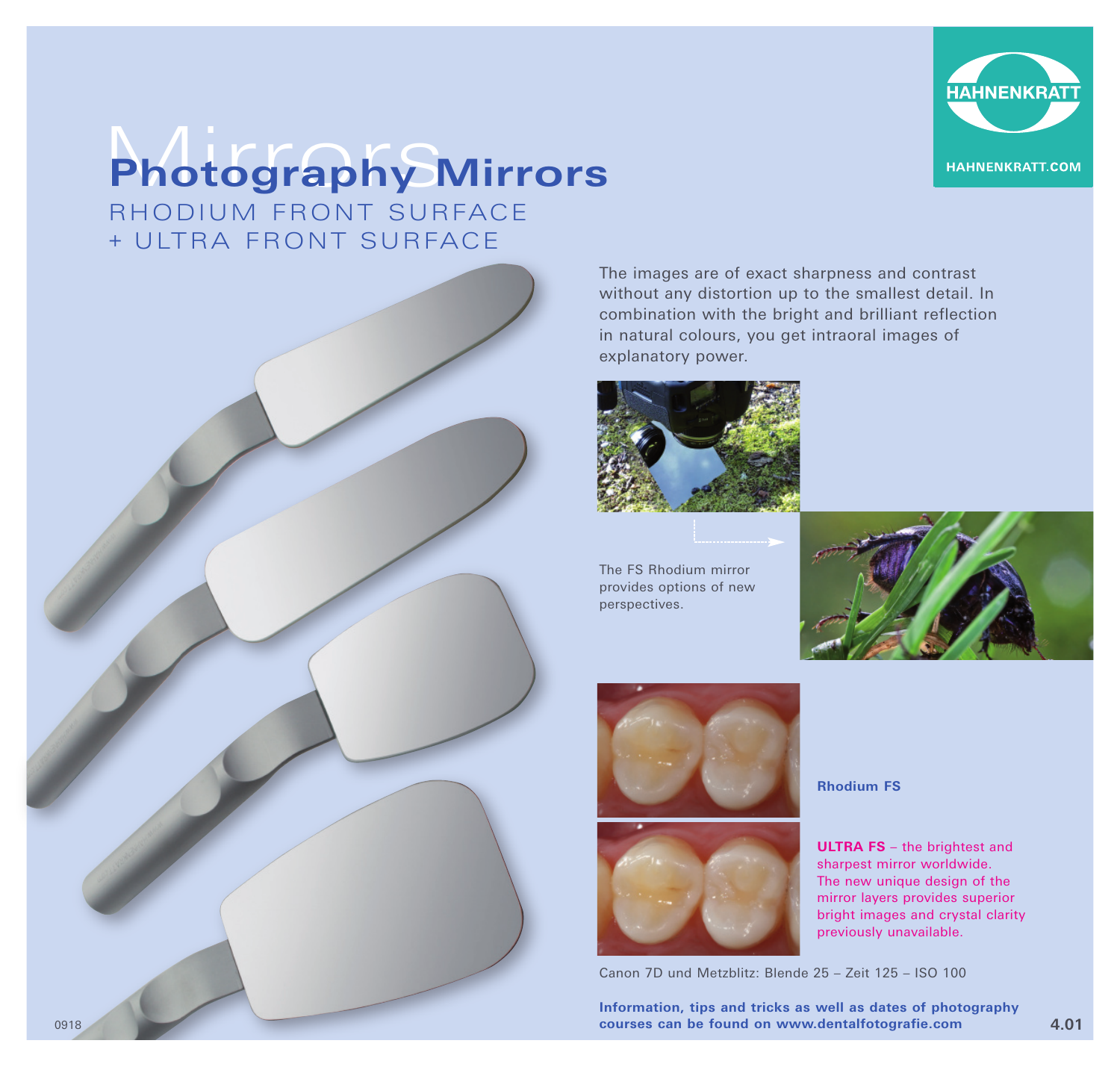

## Mirrors **Photography Mirrors**

RHODIUM FRONT SURFACE + UITRA FRONT SURFACE



The images are of exact sharpness and contrast without any distortion up to the smallest detail. In combination with the bright and brilliant reflection in natural colours, you get intraoral images of explanatory power.



The FS Rhodium mirror provides options of new perspectives.







**Rhodium FS**

**ULTRA FS** – the brightest and sharpest mirror worldwide. The new unique design of the mirror layers provides superior bright images and crystal clarity previously unavailable.

Canon 7D und Metzblitz: Blende 25 – Zeit 125 – ISO 100

**Information, tips and tricks as well as dates of photography**